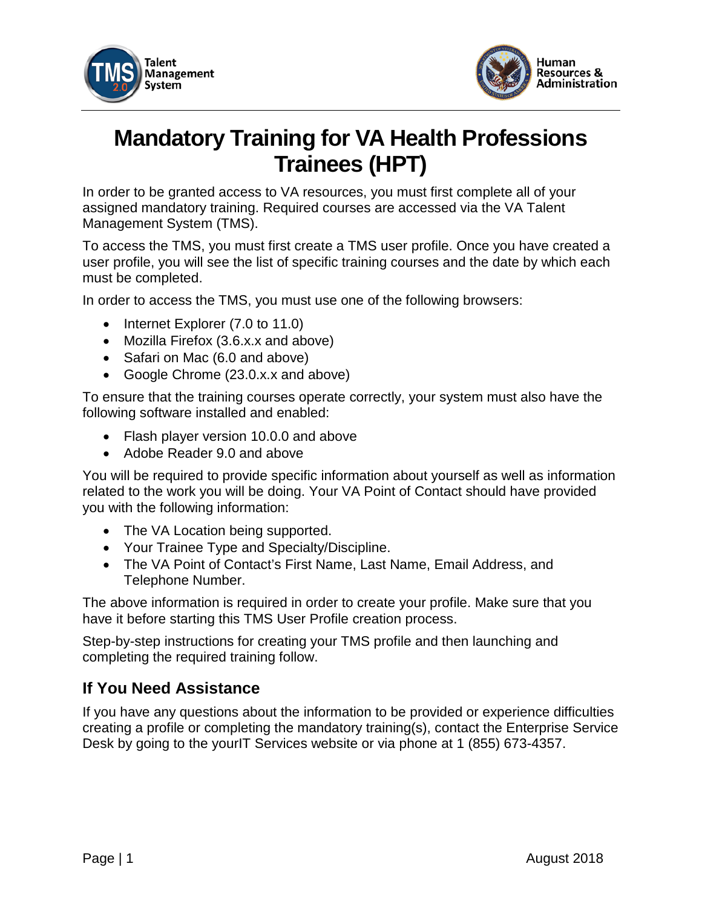



# **Mandatory Training for VA Health Professions Trainees (HPT)**

In order to be granted access to VA resources, you must first complete all of your assigned mandatory training. Required courses are accessed via the VA Talent Management System (TMS).

To access the TMS, you must first create a TMS user profile. Once you have created a user profile, you will see the list of specific training courses and the date by which each must be completed.

In order to access the TMS, you must use one of the following browsers:

- Internet Explorer (7.0 to 11.0)
- Mozilla Firefox (3.6.x.x and above)
- Safari on Mac (6.0 and above)
- Google Chrome (23.0.x.x and above)

To ensure that the training courses operate correctly, your system must also have the following software installed and enabled:

- Flash player version 10.0.0 and above
- Adobe Reader 9.0 and above

You will be required to provide specific information about yourself as well as information related to the work you will be doing. Your VA Point of Contact should have provided you with the following information:

- The VA Location being supported.
- Your Trainee Type and Specialty/Discipline.
- The VA Point of Contact's First Name, Last Name, Email Address, and Telephone Number.

The above information is required in order to create your profile. Make sure that you have it before starting this TMS User Profile creation process.

Step-by-step instructions for creating your TMS profile and then launching and completing the required training follow.

#### **If You Need Assistance**

If you have any questions about the information to be provided or experience difficulties creating a profile or completing the mandatory training(s), contact the Enterprise Service Desk by going to the yourIT Services website or via phone at 1 (855) 673-4357.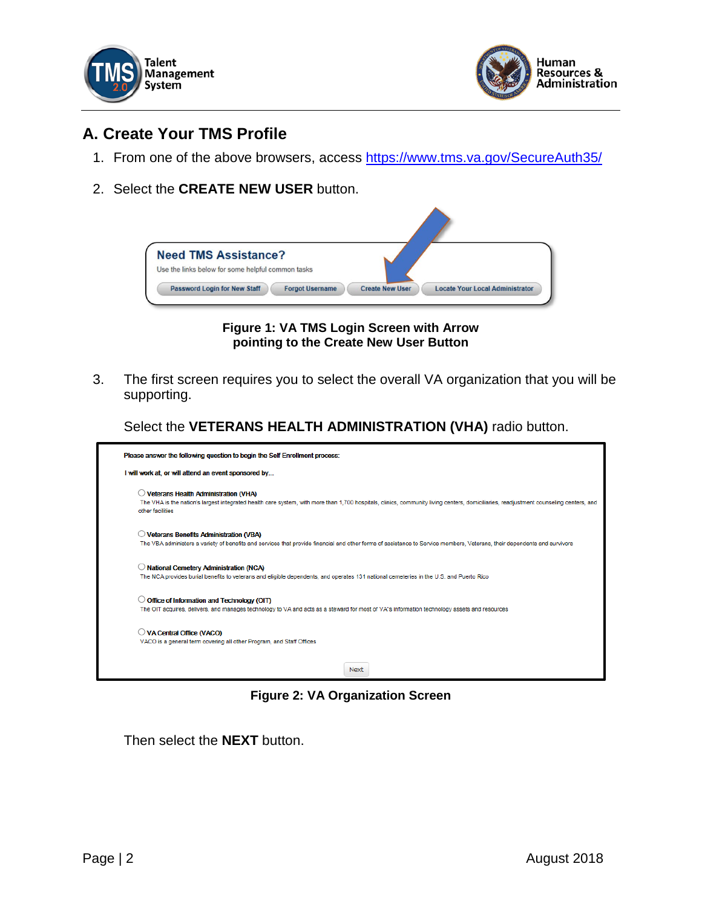



## **A. Create Your TMS Profile**

- 1. From one of the above browsers, access<https://www.tms.va.gov/SecureAuth35/>
- 2. Select the **CREATE NEW USER** button.



**Figure 1: VA TMS Login Screen with Arrow pointing to the Create New User Button**

3. The first screen requires you to select the overall VA organization that you will be supporting.

Select the **VETERANS HEALTH ADMINISTRATION (VHA)** radio button.



**Figure 2: VA Organization Screen**

Then select the **NEXT** button.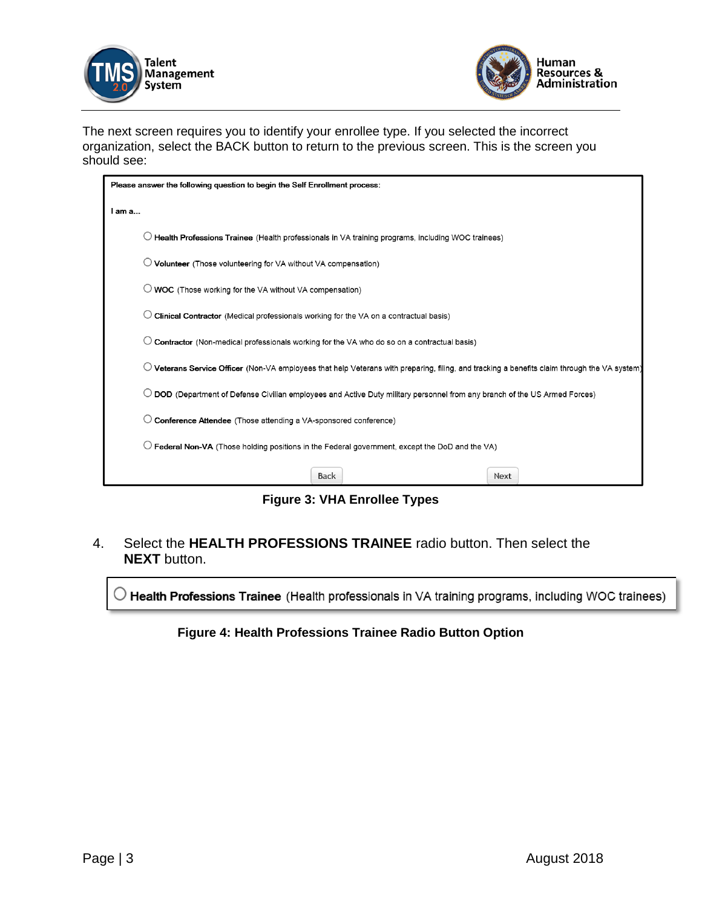



The next screen requires you to identify your enrollee type. If you selected the incorrect organization, select the BACK button to return to the previous screen. This is the screen you should see:

| Please answer the following question to begin the Self Enrollment process:                                                                 |  |  |  |  |
|--------------------------------------------------------------------------------------------------------------------------------------------|--|--|--|--|
| I am a                                                                                                                                     |  |  |  |  |
| Health Professions Trainee (Health professionals in VA training programs, including WOC trainees)                                          |  |  |  |  |
| Volunteer (Those volunteering for VA without VA compensation)                                                                              |  |  |  |  |
| $\bigcirc$ WOC (Those working for the VA without VA compensation)                                                                          |  |  |  |  |
| Clinical Contractor (Medical professionals working for the VA on a contractual basis)                                                      |  |  |  |  |
| Contractor (Non-medical professionals working for the VA who do so on a contractual basis)                                                 |  |  |  |  |
| Veterans Service Officer (Non-VA employees that help Veterans with preparing, filing, and tracking a benefits claim through the VA system) |  |  |  |  |
| DOD (Department of Defense Civilian employees and Active Duty military personnel from any branch of the US Armed Forces)                   |  |  |  |  |
| Conference Attendee (Those attending a VA-sponsored conference)                                                                            |  |  |  |  |
| Federal Non-VA (Those holding positions in the Federal government, except the DoD and the VA)                                              |  |  |  |  |
| <b>Back</b><br>Next                                                                                                                        |  |  |  |  |

**Figure 3: VHA Enrollee Types**

4. Select the **HEALTH PROFESSIONS TRAINEE** radio button. Then select the **NEXT** button.

 $\bigcirc$  Health Professions Trainee (Health professionals in VA training programs, including WOC trainees)

**Figure 4: Health Professions Trainee Radio Button Option**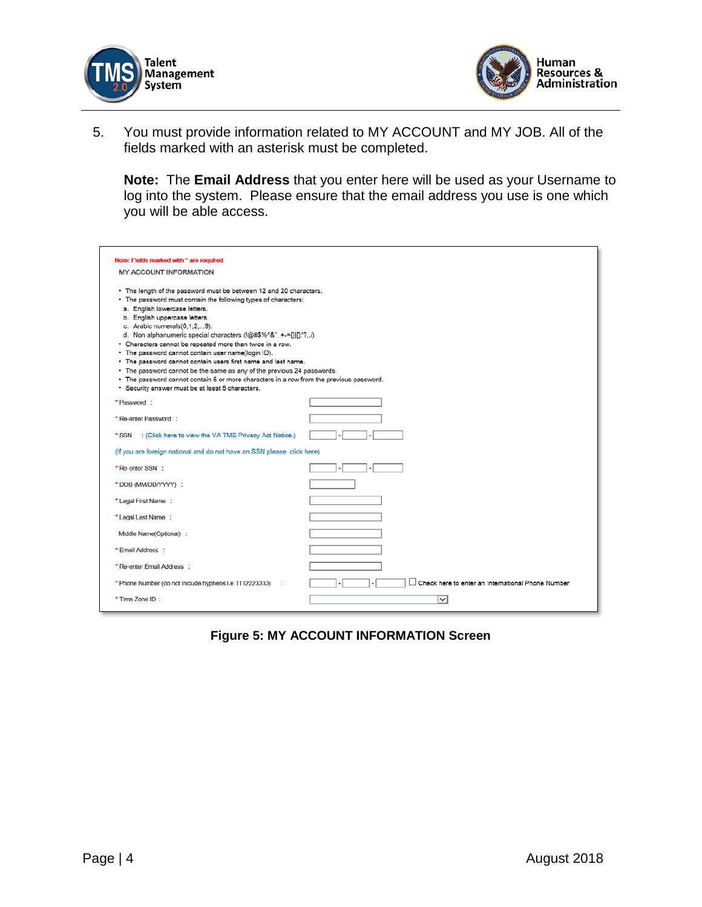



5. You must provide information related to MY ACCOUNT and MY JOB. All of the fields marked with an asterisk must be completed.

**Note:** The **Email Address** that you enter here will be used as your Username to log into the system. Please ensure that the email address you use is one which you will be able access.

| Note: Fields marked with * are required                                                                                                                                                                                                                                                                                                                                                                                                                                                                                                                                                                                                                                                                                  |                                                   |
|--------------------------------------------------------------------------------------------------------------------------------------------------------------------------------------------------------------------------------------------------------------------------------------------------------------------------------------------------------------------------------------------------------------------------------------------------------------------------------------------------------------------------------------------------------------------------------------------------------------------------------------------------------------------------------------------------------------------------|---------------------------------------------------|
| <b>MY ACCOUNT INFORMATION</b>                                                                                                                                                                                                                                                                                                                                                                                                                                                                                                                                                                                                                                                                                            |                                                   |
| * The length of the password must be between 12 and 20 characters.<br>• The password must contain the following types of characters:<br>a. English lowercase letters.<br>b. English uppercase letters.<br>c. Arabic numerals(0,1,2,9).<br>d. Non alphanumeric special characters (!@#\$%^&"_+-={} []:'?,./)<br>• Characters cannot be repeated more than twice in a row.<br>· The password cannot contain user name(login ID).<br>. The password cannot contain users first name and last name.<br>• The password cannot be the same as any of the previous 24 passwords.<br>• The password cannot contain 6 or more characters in a row from the previous password.<br>· Security answer must be at least 5 characters. |                                                   |
| *Password:                                                                                                                                                                                                                                                                                                                                                                                                                                                                                                                                                                                                                                                                                                               |                                                   |
| * Re-enter Password :                                                                                                                                                                                                                                                                                                                                                                                                                                                                                                                                                                                                                                                                                                    |                                                   |
| : (Click here to view the VA TMS Privacy Act Notice.)<br>* SSN                                                                                                                                                                                                                                                                                                                                                                                                                                                                                                                                                                                                                                                           |                                                   |
| (If you are foreign national and do not have an SSN please click here)                                                                                                                                                                                                                                                                                                                                                                                                                                                                                                                                                                                                                                                   |                                                   |
| * Re-enter SSN :                                                                                                                                                                                                                                                                                                                                                                                                                                                                                                                                                                                                                                                                                                         |                                                   |
| *DOB (MM/DD/YYYY) :                                                                                                                                                                                                                                                                                                                                                                                                                                                                                                                                                                                                                                                                                                      |                                                   |
| * Legal First Name:                                                                                                                                                                                                                                                                                                                                                                                                                                                                                                                                                                                                                                                                                                      |                                                   |
| * Legal Last Name :                                                                                                                                                                                                                                                                                                                                                                                                                                                                                                                                                                                                                                                                                                      |                                                   |
| Middle Name(Optional) :                                                                                                                                                                                                                                                                                                                                                                                                                                                                                                                                                                                                                                                                                                  |                                                   |
| * Email Address :                                                                                                                                                                                                                                                                                                                                                                                                                                                                                                                                                                                                                                                                                                        |                                                   |
| * Re-enter Email Address :                                                                                                                                                                                                                                                                                                                                                                                                                                                                                                                                                                                                                                                                                               |                                                   |
| * Phone Number (do not include hyphens i.e 1112223333)                                                                                                                                                                                                                                                                                                                                                                                                                                                                                                                                                                                                                                                                   | Check here to enter an International Phone Number |
| * Time Zone ID:                                                                                                                                                                                                                                                                                                                                                                                                                                                                                                                                                                                                                                                                                                          | $\check{~}$                                       |

**Figure 5: MY ACCOUNT INFORMATION Screen**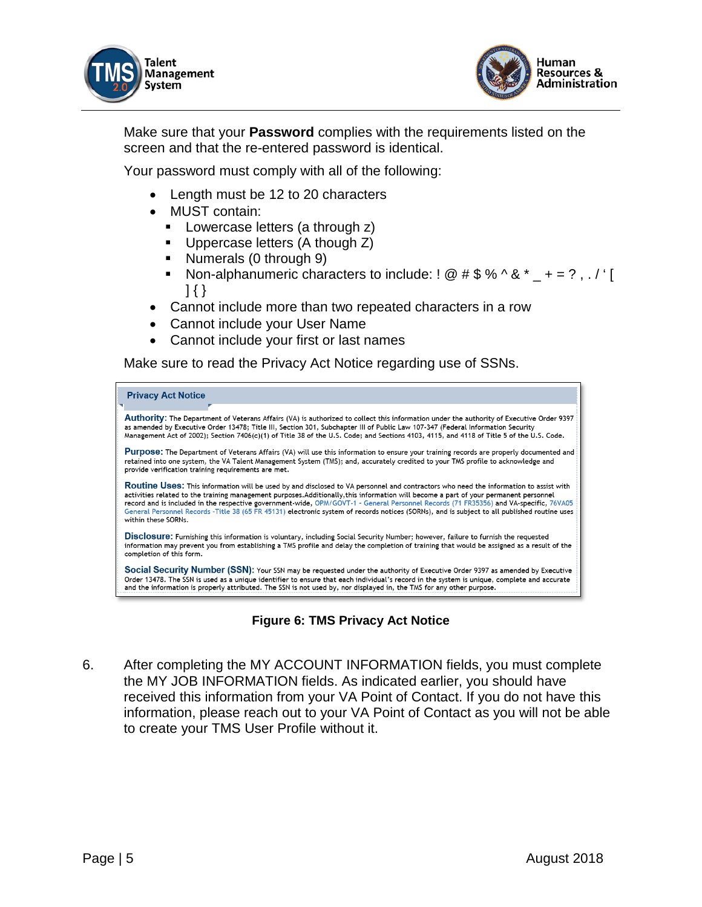



Make sure that your **Password** complies with the requirements listed on the screen and that the re-entered password is identical.

Your password must comply with all of the following:

- Length must be 12 to 20 characters
- MUST contain:
	- **Lowercase letters (a through z)**
	- **Uppercase letters (A though Z)**
	- Numerals (0 through 9)
	- Non-alphanumeric characters to include:  $\frac{1}{2}$   $\frac{1}{2}$   $\frac{1}{2}$   $\frac{1}{2}$   $\frac{1}{2}$   $\frac{1}{2}$   $\frac{1}{2}$   $\frac{1}{2}$   $\frac{1}{2}$   $\frac{1}{2}$   $\frac{1}{2}$   $\frac{1}{2}$   $\frac{1}{2}$   $\frac{1}{2}$   $\frac{1}{2}$   $\frac{1}{2}$   $\frac{1}{2}$   $\frac{1}{2}$  ] { }
- Cannot include more than two repeated characters in a row
- Cannot include your User Name
- Cannot include your first or last names

Make sure to read the Privacy Act Notice regarding use of SSNs.



#### **Figure 6: TMS Privacy Act Notice**

6. After completing the MY ACCOUNT INFORMATION fields, you must complete the MY JOB INFORMATION fields. As indicated earlier, you should have received this information from your VA Point of Contact. If you do not have this information, please reach out to your VA Point of Contact as you will not be able to create your TMS User Profile without it.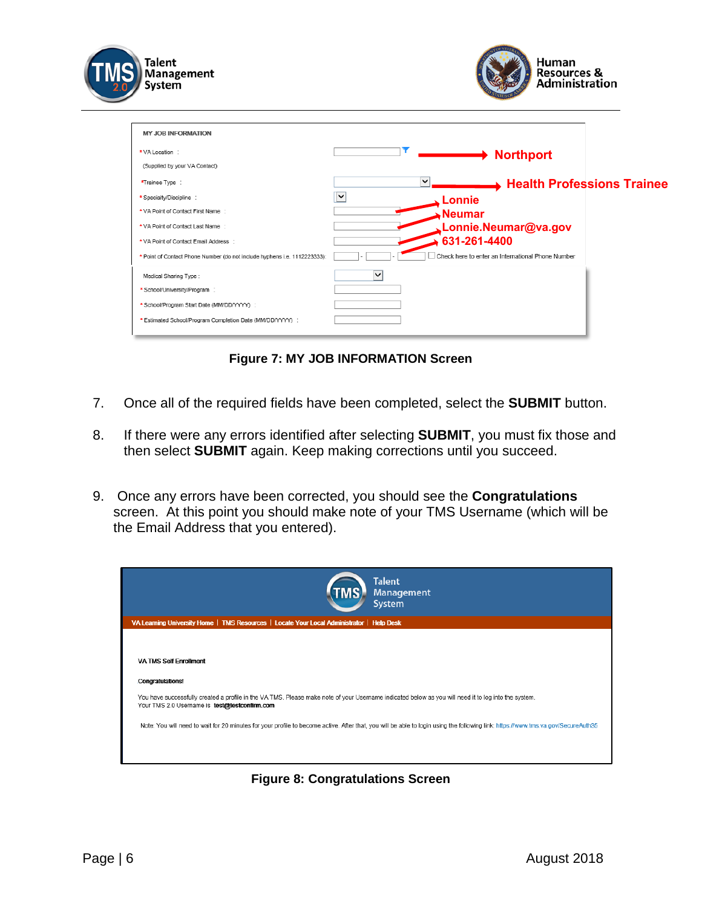| Talent<br>Management<br>System                                            | Human<br><b>Resources &amp;</b><br><b>Administration</b> |
|---------------------------------------------------------------------------|----------------------------------------------------------|
| <b>MY JOB INFORMATION</b>                                                 |                                                          |
| * VA Location :                                                           | $\rightarrow$ Northport                                  |
| (Supplied by your VA Contact)                                             |                                                          |
| *Trainee Type:                                                            | $\checkmark$<br>→ Health Professions Trainee             |
| * Specialty/Discipline :                                                  | Iv<br>Lonnie                                             |
| * VA Point of Contact First Name:                                         | <b>Neumar</b>                                            |
| * VA Point of Contact Last Name:                                          | Lonnie.Neumar@va.gov                                     |
| * VA Point of Contact Email Address :                                     | 631-261-4400                                             |
| * Point of Contact Phone Number (do not include hyphens i.e. 1112223333): | Check here to enter an International Phone Number        |
| Medical Sharing Type:                                                     | ✓                                                        |
| * School/University/Program :                                             |                                                          |
| * School/Program Start Date (MM/DD/YYYY) :                                |                                                          |
| * Estimated School/Program Completion Date (MM/DD/YYYY) :                 |                                                          |

**Figure 7: MY JOB INFORMATION Screen**

- 7. Once all of the required fields have been completed, select the **SUBMIT** button.
- 8. If there were any errors identified after selecting **SUBMIT**, you must fix those and then select **SUBMIT** again. Keep making corrections until you succeed.
- 9. Once any errors have been corrected, you should see the **Congratulations** screen. At this point you should make note of your TMS Username (which will be the Email Address that you entered).

| <b>Talent</b><br><b>Management</b><br>System                                                                                                                                                         |  |
|------------------------------------------------------------------------------------------------------------------------------------------------------------------------------------------------------|--|
| VA Learning University Home   TMS Resources   Locate Your Local Administrator   Help Desk                                                                                                            |  |
|                                                                                                                                                                                                      |  |
| <b>VA TMS Self Enrollment</b>                                                                                                                                                                        |  |
| <b>Congratulations!</b>                                                                                                                                                                              |  |
| You have successfully created a profile in the VA TMS. Please make note of your Username indicated below as you will need it to log into the system.<br>Your TMS 2.0 Usemame is test@testconfirm.com |  |
| Note: You will need to wait for 20 minutes for your profile to become active. After that, you will be able to login using the following link: https://www.tms.va.gov/SecureAuth35                    |  |
|                                                                                                                                                                                                      |  |
|                                                                                                                                                                                                      |  |

**Figure 8: Congratulations Screen**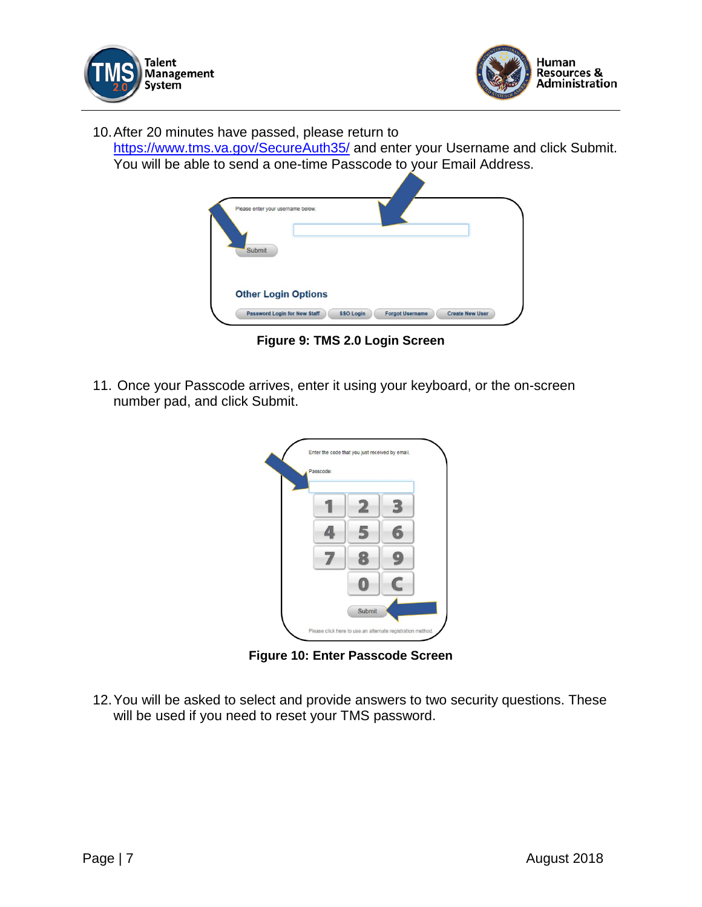



10.After 20 minutes have passed, please return to

<https://www.tms.va.gov/SecureAuth35/> and enter your Username and click Submit. You will be able to send a one-time Passcode to your Email Address.

| Please enter your username below. |  |  |
|-----------------------------------|--|--|
|                                   |  |  |
| Submit                            |  |  |
|                                   |  |  |
| <b>Other Login Options</b>        |  |  |
|                                   |  |  |

**Figure 9: TMS 2.0 Login Screen**

11. Once your Passcode arrives, enter it using your keyboard, or the on-screen number pad, and click Submit.

| Passcode: |        |   |
|-----------|--------|---|
|           | 2      | З |
|           | 5      |   |
|           |        | 9 |
|           |        |   |
|           | Submit |   |

**Figure 10: Enter Passcode Screen**

12.You will be asked to select and provide answers to two security questions. These will be used if you need to reset your TMS password.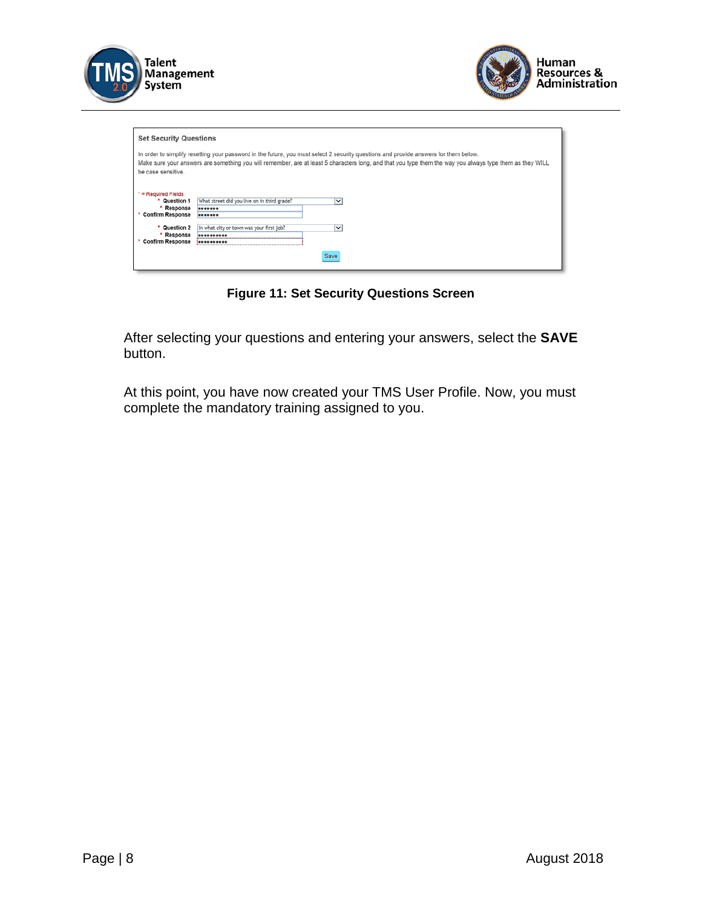



| <b>Set Security Questions</b>                                         |                                                                                                                                                                                                                                                                                                  |
|-----------------------------------------------------------------------|--------------------------------------------------------------------------------------------------------------------------------------------------------------------------------------------------------------------------------------------------------------------------------------------------|
| be case sensitive.                                                    | In order to simplify resetting your password in the future, you must select 2 security questions and provide answers for them below.<br>Make sure your answers are something you will remember, are at least 5 characters long, and that you type them the way you always type them as they WILL |
| * = Required Fields<br>* Question 1<br>Response<br>* Confirm Response | What street did you live on in third grade?<br>$\checkmark$<br><br>                                                                                                                                                                                                                              |
| * Question 2<br>Response<br>* Confirm Response                        | In what city or town was your first job?<br>$\check{~}$                                                                                                                                                                                                                                          |
|                                                                       | Save                                                                                                                                                                                                                                                                                             |

**Figure 11: Set Security Questions Screen**

After selecting your questions and entering your answers, select the **SAVE** button.

At this point, you have now created your TMS User Profile. Now, you must complete the mandatory training assigned to you.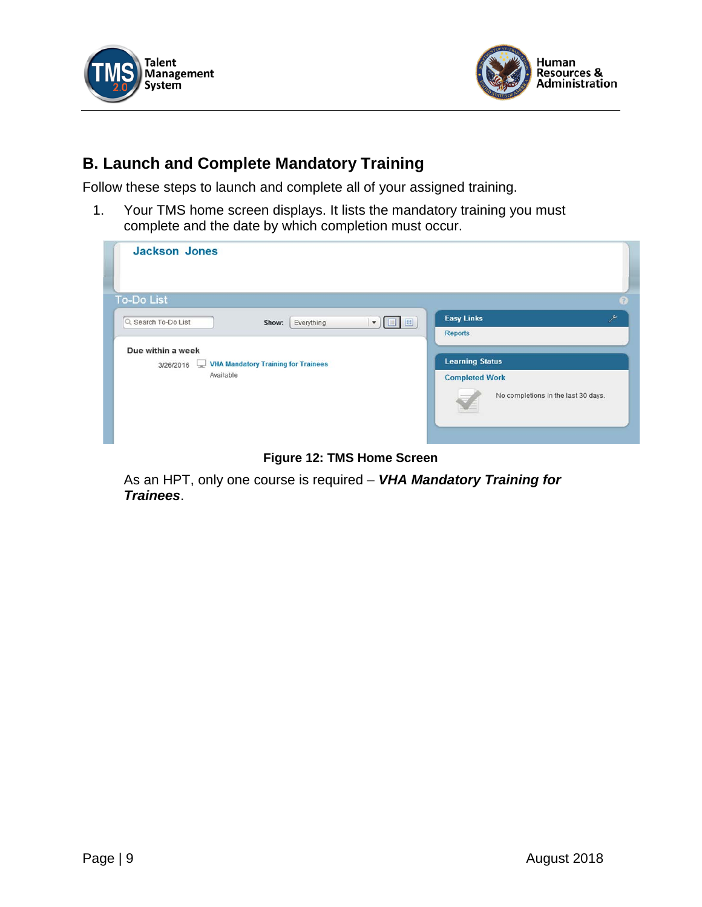



### **B. Launch and Complete Mandatory Training**

Follow these steps to launch and complete all of your assigned training.

1. Your TMS home screen displays. It lists the mandatory training you must complete and the date by which completion must occur.

| <b>Jackson Jones</b>                                                                                                                                         |                                                                                                                                                           |
|--------------------------------------------------------------------------------------------------------------------------------------------------------------|-----------------------------------------------------------------------------------------------------------------------------------------------------------|
| <b>To-Do List</b>                                                                                                                                            | B                                                                                                                                                         |
| Q Search To-Do List<br>8 B<br>Show:<br>Everything<br>$\blacktriangledown$<br>Due within a week<br>3/26/2016 VHA Mandatory Training for Trainees<br>Available | <b>Easy Links</b><br>$\overline{\phantom{a}}$<br><b>Reports</b><br><b>Learning Status</b><br><b>Completed Work</b><br>No completions in the last 30 days. |

**Figure 12: TMS Home Screen**

As an HPT, only one course is required – *VHA Mandatory Training for Trainees*.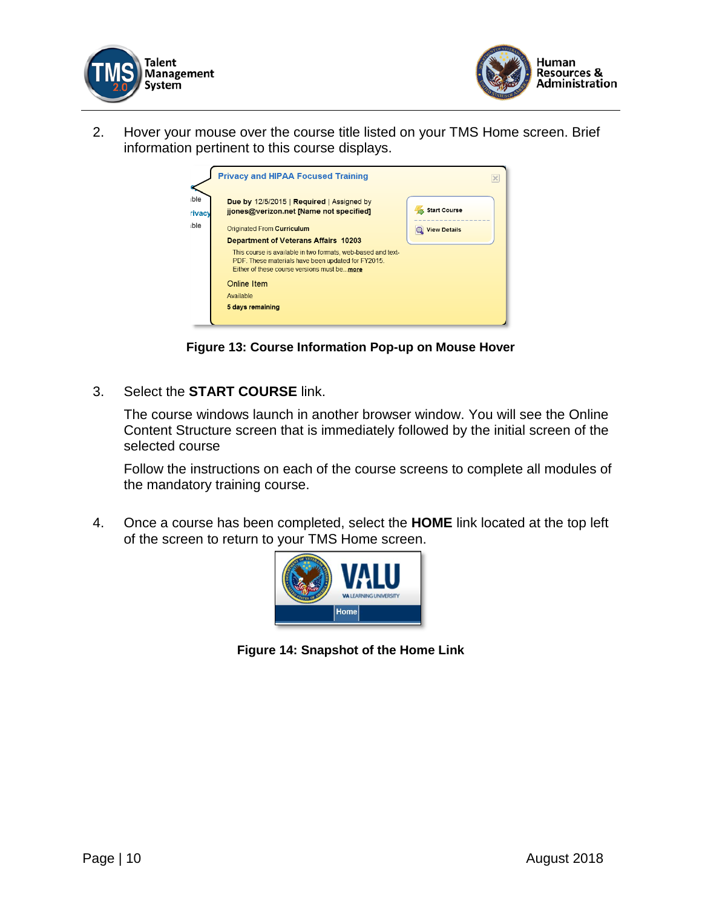



2. Hover your mouse over the course title listed on your TMS Home screen. Brief information pertinent to this course displays.

|                      | <b>Privacy and HIPAA Focused Training</b>                                                                                                                          |                     |
|----------------------|--------------------------------------------------------------------------------------------------------------------------------------------------------------------|---------------------|
| ble<br><b>Tivacy</b> | Due by 12/5/2015   Required   Assigned by<br>jjones@verizon.net [Name not specified]                                                                               | <b>Start Course</b> |
| ble                  | Originated From Curriculum                                                                                                                                         | <b>View Details</b> |
|                      | <b>Department of Veterans Affairs 10203</b>                                                                                                                        |                     |
|                      | This course is available in two formats, web-based and text-<br>PDF. These materials have been updated for FY2015.<br>Either of these course versions must be more |                     |
|                      | Online Item                                                                                                                                                        |                     |
|                      | Available                                                                                                                                                          |                     |
|                      | 5 days remaining                                                                                                                                                   |                     |
|                      |                                                                                                                                                                    |                     |

**Figure 13: Course Information Pop-up on Mouse Hover**

3. Select the **START COURSE** link.

The course windows launch in another browser window. You will see the Online Content Structure screen that is immediately followed by the initial screen of the selected course

Follow the instructions on each of the course screens to complete all modules of the mandatory training course.

4. Once a course has been completed, select the **HOME** link located at the top left of the screen to return to your TMS Home screen.



**Figure 14: Snapshot of the Home Link**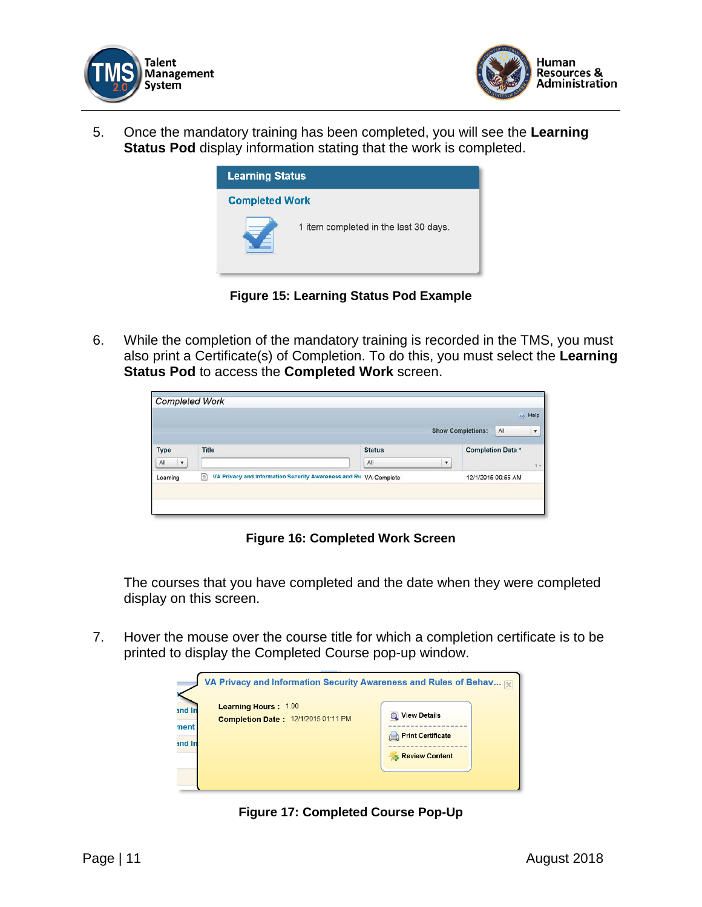



5. Once the mandatory training has been completed, you will see the **Learning Status Pod** display information stating that the work is completed.



**Figure 15: Learning Status Pod Example**

6. While the completion of the mandatory training is recorded in the TMS, you must also print a Certificate(s) of Completion. To do this, you must select the **Learning Status Pod** to access the **Completed Work** screen.

| <b>Completed Work</b> |                                                                                       |               |                         | (c) Help                                              |  |
|-----------------------|---------------------------------------------------------------------------------------|---------------|-------------------------|-------------------------------------------------------|--|
|                       |                                                                                       |               |                         | All<br><b>Show Completions:</b><br>$\pmb{\mathrm{v}}$ |  |
| Type                  | Title                                                                                 | <b>Status</b> |                         | <b>Completion Date *</b>                              |  |
| All<br>$\mathbf{v}$   |                                                                                       | All           | $\overline{\mathbf{v}}$ | $1 -$                                                 |  |
| Learning              | VA Privacy and Information Security Awareness and Ru VA-Complete<br>$\boxed{\boxdot}$ |               |                         | 12/1/2015 09:55 AM                                    |  |

**Figure 16: Completed Work Screen**

The courses that you have completed and the date when they were completed display on this screen.

7. Hover the mouse over the course title for which a completion certificate is to be printed to display the Completed Course pop-up window.



**Figure 17: Completed Course Pop-Up**